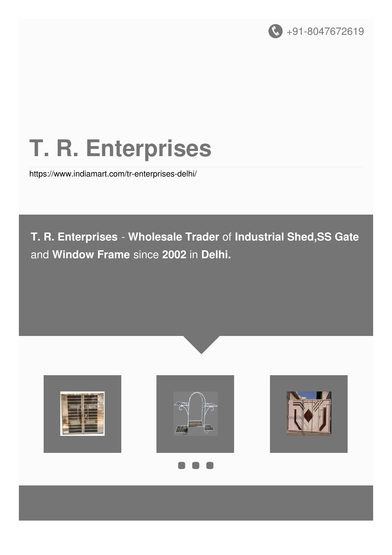

# **T. R. Enterprises**

<https://www.indiamart.com/tr-enterprises-delhi/>

**T. R. Enterprises** - **Wholesale Trader** of **Industrial Shed,SS Gate** and **Window Frame** since **2002** in **Delhi.**







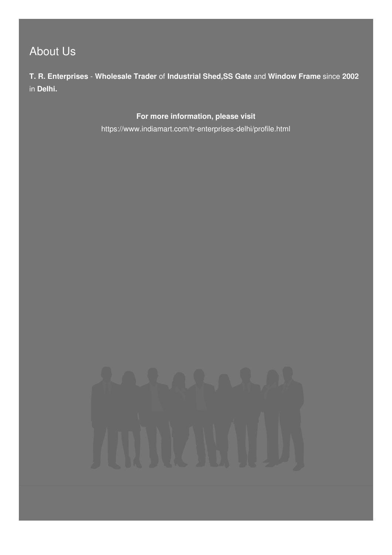## About Us

**T. R. Enterprises** - **Wholesale Trader** of **Industrial Shed,SS Gate** and **Window Frame** since **2002** in **Delhi.**

**For more information, please visit**

<https://www.indiamart.com/tr-enterprises-delhi/profile.html>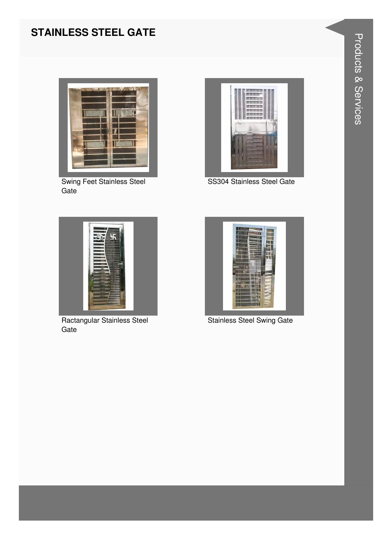#### **STAINLESS STEEL GATE**



**Swing Feet Stainless Steel** Gate



SS304 Stainless Steel Gate



Ractangular Stainless Steel Gate



**Stainless Steel Swing Gate**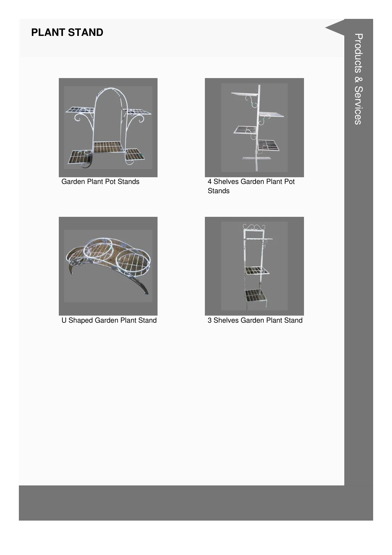#### **PLANT STAND**



Garden Plant Pot Stands



4 Shelves Garden Plant Pot **Stands** 



**U Shaped Garden Plant Stand** 



3 Shelves Garden Plant Stand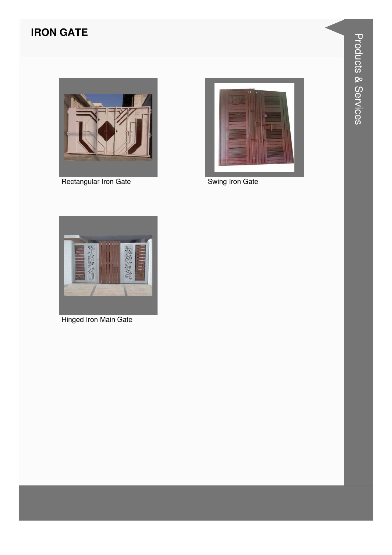#### **IRON GATE**



Rectangular Iron Gate



Swing Iron Gate



Hinged Iron Main Gate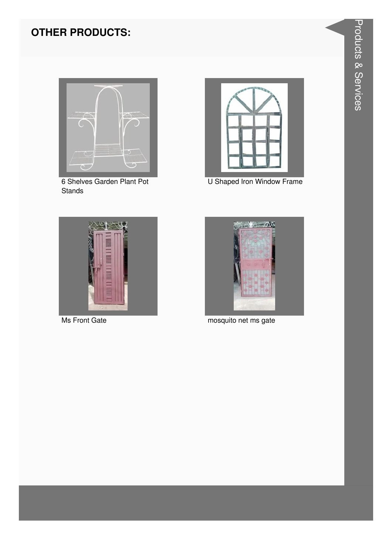#### **OTHER PRODUCTS:**



6 Shelves Garden Plant Pot Stands



U Shaped Iron Window Frame



**Ms Front Gate** 



mosquito net ms gate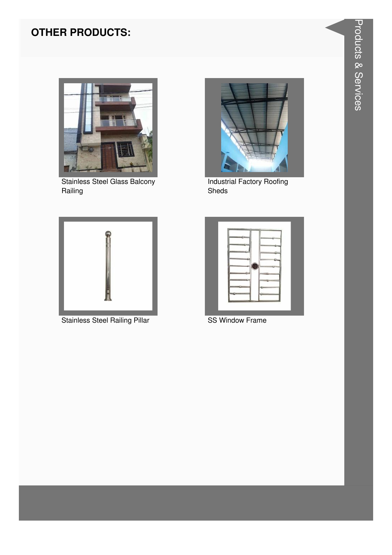### **OTHER PRODUCTS:**



**Stainless Steel Glass Balcony** Railing



**Stainless Steel Railing Pillar** 



**Industrial Factory Roofing** Sheds



**SS Window Frame**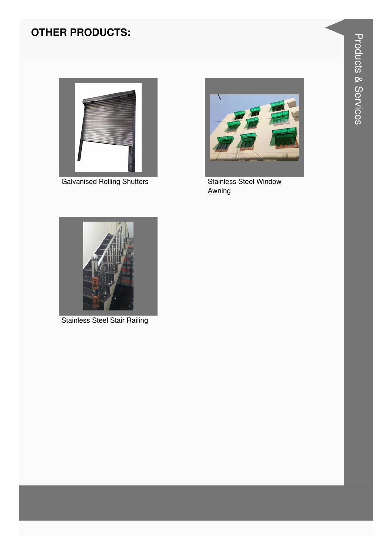#### **OTHER PRODUCTS:**



**Galvanised Rolling Shutters** 



**Stainless Steel Window** Awning



**Stainless Steel Stair Railing**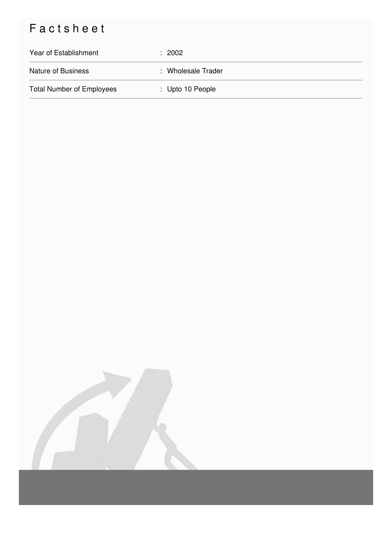# Factsheet

| Year of Establishment            | : 2002             |
|----------------------------------|--------------------|
| <b>Nature of Business</b>        | : Wholesale Trader |
| <b>Total Number of Employees</b> | : Upto 10 People   |